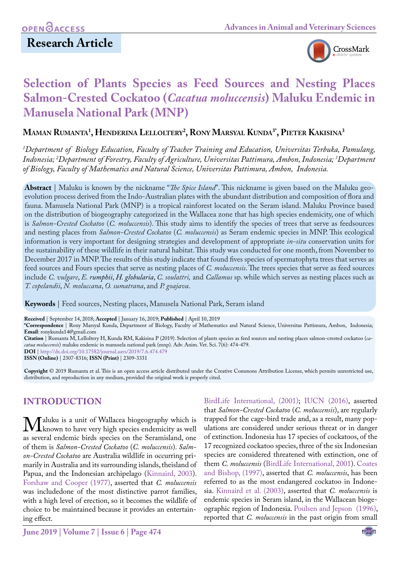

# **Selection of Plants Species as Feed Sources and Nesting Places Salmon-Crested Cockatoo (***Cacatua moluccensis***) Maluku Endemic in Manusela National Park (MNP)**

**Maman Rumanta1 , Henderina Lelloltery2 , Rony Marsyal Kunda3\*, Pieter Kakisina3**

*1 Department of Biology Education, Faculty of Teacher Training and Education, Universitas Terbuka, Pamulang, Indonesia; 2 Department of Forestry, Faculty of Agriculture, Universitas Pattimura, Ambon, Indonesia; 3 Department of Biology, Faculty of Mathematics and Natural Science, Universitas Pattimura, Ambon, Indonesia.*

**Abstract** | Maluku is known by the nickname "*The Spice Island*". This nickname is given based on the Maluku geoevolution process derived from the Indo-Australian plates with the abundant distribution and composition of flora and fauna. Manusela National Park (MNP) is a tropical rainforest located on the Seram island. Maluku Province based on the distribution of biogeography categorized in the Wallacea zone that has high species endemicity, one of which is *Salmon-Crested Cockatoo* (*C. moluccensis*). This study aims to identify the species of trees that serve as feedsources and nesting places from *Salmon-Crested Cockatoo* (*C. moluccensis*) as Seram endemic species in MNP. This ecological information is very important for designing strategies and development of appropriate *in-situ* conservation units for the sustainability of these wildlife in their natural habitat. This study was conducted for one month, from November to December 2017 in MNP. The results of this study indicate that found fives species of spermatophyta trees that serves as feed sources and Fours species that serve as nesting places of *C. moluccensis*. The trees species that serve as feed sources include *C. vulgare*, *E. rumphii*, *[H. globularia](https://www.mybis.gov.my/sp/14654)*, *C. soulattri,* and *Callamus* sp. while which serves as nesting places such as *T. copelandii*, *N. moluccana*, *O. sumatrana*, and *P. goajava*.

**Keywords** | Feed sources, Nesting places, Manusela National Park, Seram island

**Received** | September 14, 2018; **Accepted** | January 16, 2019; **Published** | April 10, 2019

**\*Correspondence** | Rony Marsyal Kunda, Department of Biology, Faculty of Mathematics and Natural Science, Universitas Pattimura, Ambon, Indonesia; **Email**: ronykunda14@gmail.com

**Citation** | Rumanta M, Lelloltery H, Kunda RM, Kakisina P (2019). Selection of plants species as feed sources and nesting places salmon-crested cockatoo (*cacatua moluccensis*) maluku endemic in manusela national park (mnp). Adv. Anim. Vet. Sci. 7(6): 474-479. **DOI** | [http://dx.doi.org/10.17582/journal.aavs/2019/7](http://dx.doi.org/10.17582/journal.aavs/2019/7.6.474.479).6.474.479

**ISSN (Online)** | 2307-8316; **ISSN (Print)** | 2309-3331

**Copyright** © 2019 Rumanta et al. This is an open access article distributed under the Creative Commons Attribution License, which permits unrestricted use, distribution, and reproduction in any medium, provided the original work is properly cited.

# **INTRODUCTION**

**M** aluku is a unit of Wallacea biogeography which is<br>as several endemic birds species on the Seramisland, one as several endemic birds species on the Seramisland, one of them is *Salmon-Crested Cockatoo* (*C. moluccensis*). *Salmon-Crested Cockatoo* are Australia wildlife in occurring primarily in Australia and its surrounding islands, theisland of Papua, and the Indonesian archipelago [\(Kinnaird, 2003\)](#page-5-0). [Forshaw and Cooper \(1977\),](#page-5-1) asserted that *C. moluccensis* was includedone of the most distinctive parrot families, with a high level of erection, so it becomes the wildlife of choice to be maintained because it provides an entertaining effect.

[BirdLife International, \(2001\);](#page-5-2) IUCN (2016), asserted that *Salmon-Crested Cockatoo* (*C. moluccensis*), are regularly trapped for the cage-bird trade and, as a result, many populations are considered under serious threat or in danger of extinction. Indonesia has 17 species of cockatoos, of the 17 recognized cockatoo species, three of the six Indonesian species are considered threatened with extinction, one of them *C. moluccensis* ([BirdLife International, 2001](#page-5-2)). [Coates](#page-5-3) [and Bishop, \(1997\),](#page-5-3) asserted that *C. moluccensis*, has been referred to as the most endangered cockatoo in Indonesia. [Kinnaird et al. \(2003\),](#page-5-0) asserted that *C. moluccensis* is endemic species in Seram island, in the Wallacean biogeographic region of Indonesia. [Poulsen and Jepson \(1996\)](#page-5-4), reported that *C. moluccensis* in the past origin from small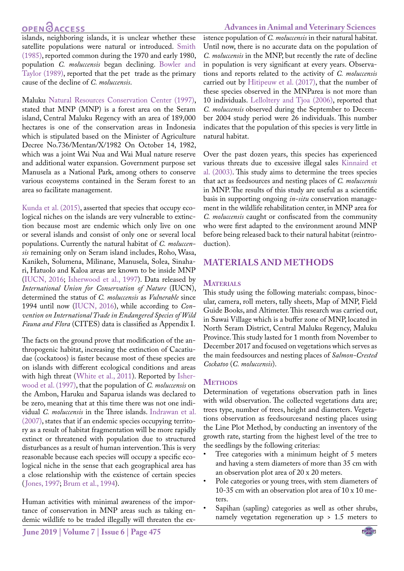# **OPEN GACCESS**

#### **Advances in Animal and Veterinary Sciences**

islands, neighboring islands, it is unclear whether these satellite populations were natural or introduced. [Smith](#page-5-5) [\(1985\),](#page-5-5) reported common during the 1970 and early 1980, population *C. moluccensis* began declining. [Bowler and](#page-5-6) [Taylor \(1989\)](#page-5-6), reported that the pet trade as the primary cause of the decline of *C. moluccensis*.

Maluku [Natural Resources Conservation Center \(1997\)](#page-5-7), stated that MNP (MNP) is a forest area on the Seram island, Central Maluku Regency with an area of 189,000 hectares is one of the conservation areas in Indonesia which is stipulated based on the Minister of Agriculture Decree No.736/Mentan/X/1982 On October 14, 1982, which was a joint Wai Nua and Wai Mual nature reserve and additional water expansion. Government purpose set Manusela as a National Park, among others to conserve various ecosystems contained in the Seram forest to an area so facilitate management.

[Kunda et al. \(2015\)](#page-5-8), asserted that species that occupy ecological niches on the islands are very vulnerable to extinction because most are endemic which only live on one or several islands and consist of only one or several local populations. Currently the natural habitat of *C. moluccensis* remaining only on Seram island includes, Roho, Wasa, Kanikeh, Solumena, Milinane, Manusela, Solea, Sinahari, Hatuolo and Kaloa areas are known to be inside MNP (IUCN, 2016; [Isherwood et al., 1997\)](#page-5-9). Data released by *International Union for Conservation of Nature* (IUCN), determined the status of *C. moluccensis* as *Vulnerable* since 1994 until now (IUCN, 2016), while according to *Convention on International Trade in Endangered Species of Wild Fauna and Flora* (CITES) data is classified as Appendix I.

The facts on the ground prove that modification of the anthropogenic habitat, increasing the extinction of Cacatiudae (cockatoos) is faster because most of these species are on islands with different ecological conditions and areas with high threat ([White et al., 2011](#page-5-10)). Reported by [Isher](#page-5-9)[wood et al. \(1997\),](#page-5-9) that the population of *C. moluccensis* on the Ambon, Haruku and Saparua islands was declared to be zero, meaning that at this time there was not one individual *C. moluccensis* in the Three islands. [Indrawan et al.](#page-5-11) [\(2007\),](#page-5-11) states that if an endemic species occupying territory as a result of habitat fragmentation will be more rapidly extinct or threatened with population due to structured disturbances as a result of human intervention. This is very reasonable because each species will occupy a specific ecological niche in the sense that each geographical area has a close relationship with the existence of certain species ([Jones, 1997;](#page-5-12) [Brum et al., 1994\)](#page-5-13).

Human activities with minimal awareness of the importance of conservation in MNP areas such as taking endemic wildlife to be traded illegally will threaten the existence population of *C. moluccensis* in their natural habitat. Until now, there is no accurate data on the population of *C. moluccensis* in the MNP, but recently the rate of decline in population is very significant at every years. Observations and reports related to the activity of *C. moluccensis* carried out by [Hitipeuw et al. \(2017\),](#page-5-14) that the number of these species observed in the MNParea is not more than 10 individuals. [Lelloltery and Tjoa \(2006\)](#page-5-15), reported that *C. moluccensis* observed during the September to December 2004 study period were 26 individuals. This number indicates that the population of this species is very little in natural habitat.

Over the past dozen years, this species has experienced various threats due to excessive illegal sales [Kinnaird et](#page-5-0)  [al. \(2003\)](#page-5-0). This study aims to determine the trees species that act as feedsources and nesting places of *C. moluccensis* in MNP. The results of this study are useful as a scientific basis in supporting ongoing *in-situ* conservation management in the wildlife rehabilitation center, in MNP area for *C. moluccensis* caught or confiscated from the community who were first adapted to the environment around MNP before being released back to their natural habitat (reintroduction).

### **MATERIALS AND METHODS**

#### **MATERIALS**

This study using the following materials: compass, binocular, camera, roll meters, tally sheets, Map of MNP, Field Guide Books, and Altimeter. This research was carried out, in Sawai Village which is a buffer zone of MNP, located in North Seram District, Central Maluku Regency, Maluku Province. This study lasted for 1 month from November to December 2017 and focused on vegetations which serves as the main feedsources and nesting places of *Salmon-Crested Cockatoo* (*C. moluccensis*).

#### **METHODS**

Determination of vegetations observation path in lines with wild observation. The collected vegetations data are; trees type, number of trees, height and diameters. Vegetations observation as feedsourcesand nesting places using the Line Plot Method, by conducting an inventory of the growth rate, starting from the highest level of the tree to the seedlings by the following criterias:

- Tree categories with a minimum height of 5 meters and having a stem diameters of more than 35 cm with an observation plot area of 20 x 20 meters.
- Pole categories or young trees, with stem diameters of 10-35 cm with an observation plot area of 10 x 10 meters.
- Sapihan (sapling) categories as well as other shrubs, namely vegetation regeneration up > 1.5 meters to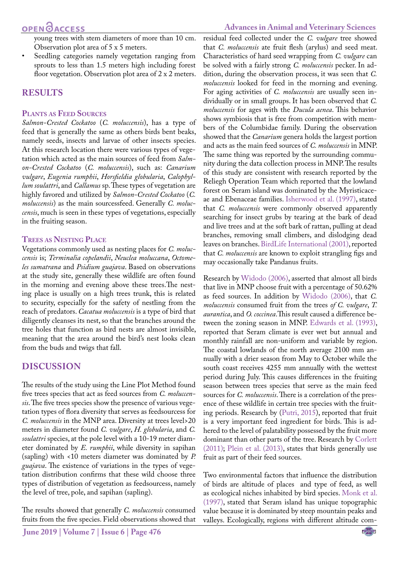young trees with stem diameters of more than 10 cm. Observation plot area of 5 x 5 meters.

Seedling categories namely vegetation ranging from sprouts to less than 1.5 meters high including forest floor vegetation. Observation plot area of 2 x 2 meters.

## **RESULTS**

#### **Plants as Feed Sources**

*Salmon-Crested Cockatoo* (*C. moluccensis*), has a type of feed that is generally the same as others birds bent beaks, namely seeds, insects and larvae of other insects species. At this research location there were various types of vegetation which acted as the main sources of feed from *Salmon-Crested Cockatoo* (*C. moluccensis*), such as: *Canarium vulgare*, *Eugenia rumphii*, *Horsfieldia globularia*, *Calophyllum soulattri*, and *Callamus* sp. These types of vegetation are highly favored and utilized by *Salmon-Crested Cockatoo* (*C. moluccensis*) as the main sourcessfeed. Generally *C. moluccensis*, much is seen in these types of vegetations, especially in the fruiting season.

#### **Trees as Nesting Place**

Vegetations commonly used as nesting places for *C. moluccensis* is; *Terminalia copelandii*, *Neuclea moluccana*, *Octomeles sumatrana* and *Psidium guajava*. Based on observations at the study site, generally these wildlife are often found in the morning and evening above these trees.The nesting place is usually on a high trees trunk, this is related to security, especially for the safety of nestling from the reach of predators. *Cacatua moluccensis* is a type of bird that diligently cleanses its nest, so that the branches around the tree holes that function as bird nests are almost invisible, meaning that the area around the bird's nest looks clean from the buds and twigs that fall.

## **DISCUSSION**

The results of the study using the Line Plot Method found five trees species that act as feed sources from *C. moluccensis*. The five trees species show the presence of various vegetation types of flora diversity that serves as feedsourcess for *C. moluccensis* in the MNP area. Diversity at trees level>20 meters in diameter found *C. vulgare*, *H. globularia*, and *C. soulattri* species, at the pole level with a 10-19 meter diameter dominated by *E. rumphii*, while diversity in sapihan (sapling) with <10 meters diameter was dominated by *P. guajava*. The existence of variations in the types of vegetation distribution confirms that these wild choose three types of distribution of vegetation as feedsourcess, namely the level of tree, pole, and sapihan (sapling).

The results showed that generally *C. moluccensis* consumed fruits from the five species. Field observations showed that residual feed collected under the *C. vulgare* tree showed that *C. moluccensis* ate fruit flesh (arylus) and seed meat. Characteristics of hard seed wrapping from *C. vulgare* can be solved with a fairly strong *C. moluccensis* pecker. In addition, during the observation process, it was seen that *C. moluccensis* looked for feed in the morning and evening. For aging activities of *C. moluccensis* are usually seen individually or in small groups. It has been observed that *C. moluccensis* for ages with the *Ducula aenea*. This behavior shows symbiosis that is free from competition with members of the Columbidae family. During the observation showed that the *Canarium* genera holds the largest portion and acts as the main feed sources of *C. moluccensis* in MNP. The same thing was reported by the surrounding community during the data collection process in MNP. The results of this study are consistent with research reported by the Reliegh Operation Team which reported that the lowland forest on Seram island was dominated by the Myristicaceae and Ebenaceae families[. Isherwood et al. \(1997\)](#page-5-9), stated that *C. moluccensis* were commonly observed apparently searching for insect grubs by tearing at the bark of dead and live trees and at the soft bark of rattan, pulling at dead branches, removing small climbers, and dislodging dead leaves on branches. [BirdLife International \(2001\),](#page-5-2) reported that *C. moluccensis* are known to exploit strangling figs and may occasionally take Pandanus fruits.

Research by [Widodo \(2006\),](#page-5-16) asserted that almost all birds that live in MNP choose fruit with a percentage of 50.62% as feed sources. In addition by [Widodo \(2006\),](#page-5-16) that *C. moluccensis* consumed fruit from the trees *of C. vulgare*, *T. aurantica*, and *O. coccinea*.This result caused a difference between the zoning season in MNP. [Edwards et al. \(1993\),](#page-5-17) reported that Seram climate is ever wet but annual and monthly rainfall are non-uniform and variable by region. The coastal lowlands of the north average 2100 mm annually with a drier season from May to October while the south coast receives 4255 mm annually with the wettest period during July. This causes differences in the fruiting season between trees species that serve as the main feed sources for *C. moluccensis*. There is a correlation of the presence of these wildlife in certain tree species with the fruiting periods. Research by [\(Putri, 2015](#page-5-18)), reported that fruit is a very important feed ingredient for birds. This is adhered to the level of palatability possessed by the fruit more dominant than other parts of the tree. Research by [Corlett](#page-5-19)  [\(2011\);](#page-5-19) Plein et al. (2013), states that birds generally use fruit as part of their feed sources.

Two environmental factors that influence the distribution of birds are altitude of places and type of feed, as well as ecological niches inhabited by bird species. [Monk et al.](#page-5-20)  [\(1997\),](#page-5-20) stated that Seram island has unique topographic value because it is dominated by steep mountain peaks and valleys. Ecologically, regions with different altitude com-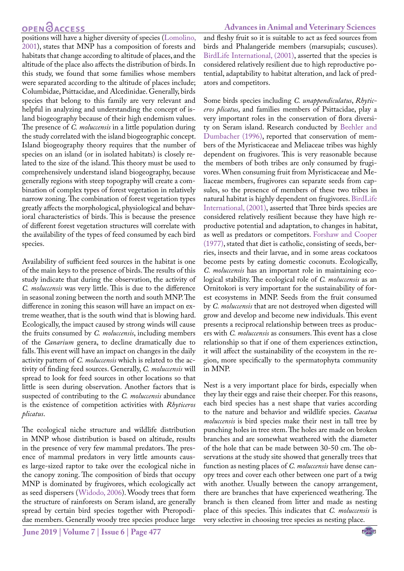## **OPEN**<sub>d</sub>

**Advances in Animal and Veterinary Sciences**

positions will have a higher diversity of species [\(Lomolino,](#page-5-21) [2001\)](#page-5-21), states that MNP has a composition of forests and habitats that change according to altitude of places, and the altitude of the place also affects the distribution of birds. In this study, we found that some families whose members were separated according to the altitude of places include; Columbidae, Psittacidae, and Alcedinidae. Generally, birds species that belong to this family are very relevant and helpful in analyzing and understanding the concept of island biogeography because of their high endemism values. The presence of *C. moluccensis* in a little population during the study correlated with the island biogeographic concept. Island biogeography theory requires that the number of species on an island (or in isolated habitats) is closely related to the size of the island. This theory must be used to comprehensively understand island biogeography, because generally regions with steep topography will create a combination of complex types of forest vegetation in relatively narrow zoning. The combination of forest vegetation types greatly affects the morphological, physiological and behavioral characteristics of birds. This is because the presence of different forest vegetation structures will correlate with the availability of the types of feed consumed by each bird species.

Availability of sufficient feed sources in the habitat is one of the main keys to the presence of birds. The results of this study indicate that during the observation, the activity of *C. moluccensis* was very little. This is due to the difference in seasonal zoning between the north and south MNP. The difference in zoning this season will have an impact on extreme weather, that is the south wind that is blowing hard. Ecologically, the impact caused by strong winds will cause the fruits consumed by *C. moluccensis*, including members of the *Canarium* genera, to decline dramatically due to falls. This event will have an impact on changes in the daily activity pattern of *C. moluccensis* which is related to the activity of finding feed sources. Generally, *C. moluccensis* will spread to look for feed sources in other locations so that little is seen during observation. Another factors that is suspected of contributing to the *C. moluccensis* abundance is the existence of competition activities with *Rhyticeros plicatus*.

The ecological niche structure and wildlife distribution in MNP whose distribution is based on altitude, results in the presence of very few mammal predators. The presence of mammal predators in very little amounts causes large-sized raptor to take over the ecological niche in the canopy zoning. The composition of birds that occupy MNP is dominated by frugivores, which ecologically act as seed dispersers ([Widodo, 2006](#page-5-16)). Woody trees that form the structure of rainforests on Seram island, are generally spread by certain bird species together with Pteropodidae members. Generally woody tree species produce large

and fleshy fruit so it is suitable to act as feed sources from birds and Phalangeride members (marsupials; cuscuses). [BirdLife International, \(2001\),](#page-5-2) asserted that the species is considered relatively resilient due to high reproductive potential, adaptability to habitat alteration, and lack of predators and competitors.

Some birds species including *C. unappendiculatus*, *Rhyticeros plicatus*, and families members of Psittacidae, play a very important roles in the conservation of flora diversity on Seram island. Research conducted by [Beehler and](#page-4-0)  [Dumbacher \(1996\)](#page-4-0), reported that conservation of members of the Myristicaceae and Meliaceae tribes was highly dependent on frugivores. This is very reasonable because the members of both tribes are only consumed by frugivores. When consuming fruit from Myristicaceae and Meliaceae members, frugivores can separate seeds from capsules, so the presence of members of these two tribes in natural habitat is highly dependent on frugivores. [BirdLife](#page-5-2)  [International, \(2001\)](#page-5-2), asserted that Three birds species are considered relatively resilient because they have high reproductive potential and adaptation, to changes in habitat, as well as predators or competitors. [Forshaw and Cooper](#page-5-1)  [\(1977\)](#page-5-1), stated that diet is catholic, consisting of seeds, berries, insects and their larvae, and in some areas cockatoos become pests by eating domestic coconuts. Ecologically, *C. moluccensis* has an important role in maintaining ecological stability. The ecological role of *C. moluccensis* as an Ornitokori is very important for the sustainability of forest ecosystems in MNP. Seeds from the fruit consumed by *C. moluccensis* that are not destroyed when digested will grow and develop and become new individuals. This event presents a reciprocal relationship between trees as producers with *C. moluccensis* as consumers. This event has a close relationship so that if one of them experiences extinction, it will affect the sustainability of the ecosystem in the region, more specifically to the spermatophyta community in MNP.

Nest is a very important place for birds, especially when they lay their eggs and raise their cheeper. For this reasons, each bird species has a nest shape that varies according to the nature and behavior and wildlife species. *Cacatua moluccensis* is bird species make their nest in tall tree by punching holes in tree stem. The holes are made on broken branches and are somewhat weathered with the diameter of the hole that can be made between 30-50 cm. The observations at the study site showed that generally trees that function as nesting places of *C. moluccensis* have dense canopy trees and cover each other between one part of a twig with another. Usually between the canopy arrangement, there are branches that have experienced weathering. The branch is then cleaned from litter and made as nesting place of this species. This indicates that *C. moluccensis* is very selective in choosing tree species as nesting place.

**June 2019 | Volume 7 | Issue 6 | Page 477**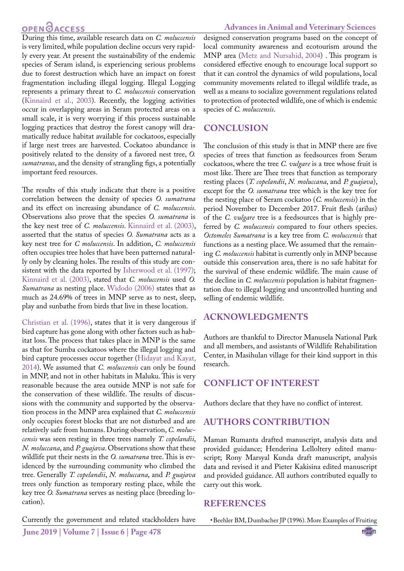# **OPEN**<sub>d</sub>

During this time, available research data on *C. moluccensis* is very limited, while population decline occurs very rapidly every year. At present the sustainability of the endemic species of Seram island, is experiencing serious problems due to forest destruction which have an impact on forest fragmentation including illegal logging. Illegal Logging represents a primary threat to *C. moluccensis* conservation [\(Kinnaird et al., 2003\)](#page-5-0). Recently, the logging activities occur in overlapping areas in Seram protected areas on a small scale, it is very worrying if this process sustainable logging practices that destroy the forest canopy will dramatically reduce habitat available for cockatoos, especially if large nest trees are harvested. Cockatoo abundance is positively related to the density of a favored nest tree, *O. sumatranus*, and the density of strangling figs, a potentially important feed resources.

The results of this study indicate that there is a positive correlation between the density of species *O. sumatrana* and its effect on increasing abundance of *C. moluccensis*. Observations also prove that the species *O. sumatrana* is the key nest tree of *C. moluccensis*. [Kinnaird et al. \(2003\)](#page-5-0), asserted that the status of species *O. Sumatrana* acts as a key nest tree for *C moluccensis*. In addition, *C. moluccensis* often occupies tree holes that have been patterned naturally only by cleaning holes. The results of this study are consistent with the data reported by [Isherwood et al. \(1997\);](#page-5-9) [Kinnaird et al. \(2003\),](#page-5-0) stated that *C. moluccensis* used *O. Sumatrana* as nesting place. [Widodo \(2006\)](#page-5-16) states that as much as 24.69% of trees in MNP serve as to nest, sleep, play and sunbathe from birds that live in these location.

[Christian et al. \(1996\)](#page-5-22), states that it is very dangerous if bird capture has gone along with other factors such as habitat loss. The process that takes place in MNP is the same as that for Sumba cockatoos where the illegal logging and bird capture processes occur together ([Hidayat and Kayat,](#page-5-23) [2014\)](#page-5-23). We assumed that *C. moluccensis* can only be found in MNP, and not in other habitats in Maluku. This is very reasonable because the area outside MNP is not safe for the conservation of these wildlife. The results of discussions with the community and supported by the observation process in the MNP area explained that *C. moluccensis* only occupies forest blocks that are not disturbed and are relatively safe from humans. During observation, *C. moluccensis* was seen resting in three trees namely *T. copelandii*, *N. moluccana*, and *P. guajava*. Observations show that these wildlife put their nests in the *O. sumatrana* tree. This is evidenced by the surrounding community who climbed the tree. Generally *T. copelandii*, *N. moluccana*, and *P. guajava* trees only function as temporary resting place, while the key tree *O. Sumatrana* serves as nesting place (breeding location).

Currently the government and related stackholders have

designed conservation programs based on the concept of local community awareness and ecotourism around the MNP area [\(Metz and Nursahid, 2004](#page-5-24)) . This program is considered effective enough to encourage local support so that it can control the dynamics of wild populations, local community movements related to illegal wildlife trade, as well as a means to socialize government regulations related to protection of protected wildlife, one of which is endemic species of *C. moluccensis*.

## **CONCLUSION**

The conclusion of this study is that in MNP there are five species of trees that function as feedsources from Seram cockatoos, where the tree *C. vulgare* is a tree whose fruit is most like. There are Thee trees that function as temporary resting places (*T. copelandii*, *N. moluccana*, and *P. guajava*), except for the *O. sumatrana* tree which is the key tree for the nesting place of Seram cockatoo (*C. moluccensis*) in the period November to December 2017. Fruit flesh (arilus) of the *C. vulgare* tree is a feedsources that is highly preferred by *C. moluccensis* compared to four others species. *Octomeles Sumatrana* is a key tree from *C. moluccensis* that functions as a nesting place. We assumed that the remaining *C. moluccensis* habitat is currently only in MNP because outside this conservation area, there is no safe habitat for the survival of these endemic wildlife. The main cause of the decline in *C. moluccensis* population is habitat fragmentation due to illegal logging and uncontrolled hunting and selling of endemic wildlife.

## **ACKNOWLEDGMENTS**

Authors are thankful to Director Manusela National Park and all members, and assistants of Wildlife Rehabilitation Center, in Masihulan village for their kind support in this research.

# **CONFLICT OF INTEREST**

Authors declare that they have no conflict of interest.

# **AUTHORS CONTRIBUTION**

Maman Rumanta drafted manuscript, analysis data and provided guidance; Henderina Lelloltery edited manuscript; Rony Marsyal Kunda draft manuscript, analysis data and revised it and Pieter Kakisina edited manuscript and provided guidance. All authors contributed equally to carry out this work.

### **REFERENCES**

<span id="page-4-0"></span>• Beehler BM, Dumbacher JP (1996). More Examples of Fruiting